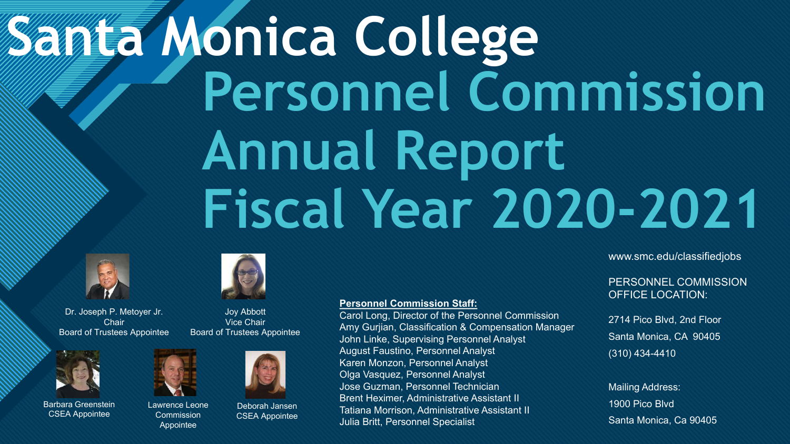# **Canta Monica College Personnel Commission Annual Report Fiscal Year 2020-2021**



Dr. Joseph P. Metoyer Jr. **Chair** Board of Trustees Appointee



Joy Abbott Vice Chair Board of Trustees Appointee



Barbara Greenstein CSEA Appointee



Lawrence Leone **Commission** Appointee



Deborah Jansen CSEA Appointee

#### **Personnel Commission Staff:**

Carol Long, Director of the Personnel Commission Amy Gurjian, Classification & Compensation Manager John Linke, Supervising Personnel Analyst August Faustino, Personnel Analyst Karen Monzon, Personnel Analyst Olga Vasquez, Personnel Analyst Jose Guzman, Personnel Technician Brent Heximer, Administrative Assistant II Tatiana Morrison, Administrative Assistant II Julia Britt, Personnel Specialist

www.smc.edu/classifiedjobs

#### PERSONNEL COMMISSION OFFICE LOCATION:

2714 Pico Blvd, 2nd Floor Santa Monica, CA 90405 (310) 434-4410

Mailing Address: 1900 Pico Blvd Santa Monica, Ca 90405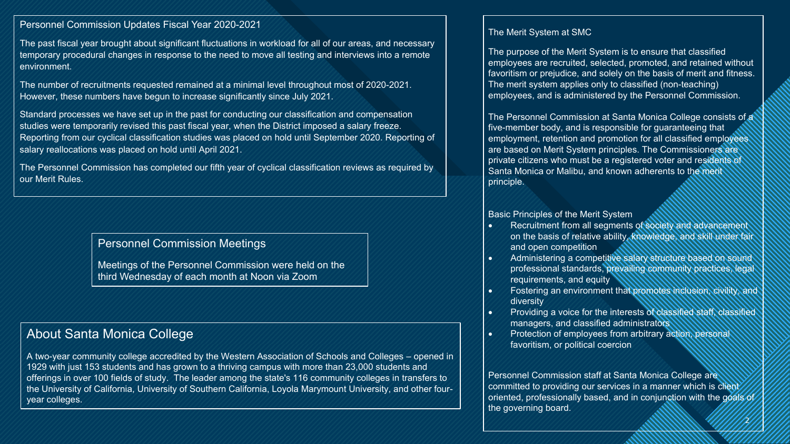#### Personnel Commission Updates Fiscal Year 2020-2021

The past fiscal year brought about significant fluctuations in workload for all of our areas, and necessary<br>temporary procedural changes in response to the need to move all testing and interviews into a remote<br>cn:<u>itenmen</u> The past fiscal year brought about significant fluctuations in workload for all of our areas, and necessary environment.

The number of recruitments requested remained at a minimal level throughout most of 2020-2021. However, these numbers have begun to increase significantly since July 2021.

Standard processes we have set up in the past for conducting our classification and compensation studies were temporarily revised this past fiscal year, when the District imposed a salary freeze. Reporting from our cyclical classification studies was placed on hold until September 2020. Reporting of salary reallocations was placed on hold until April 2021.

The Personnel Commission has completed our fifth year of cyclical classification reviews as required by our Merit Rules.

#### Personnel Commission Meetings

Meetings of the Personnel Commission were held on the third Wednesday of each month at Noon via Zoom

#### About Santa Monica College

A two-year community college accredited by the Western Association of Schools and Colleges – opened in 1929 with just 153 students and has grown to a thriving campus with more than 23,000 students and offerings in over 100 fields of study. The leader among the state's 116 community colleges in transfers to the University of California, University of Southern California, Loyola Marymount University, and other fouryear colleges.

#### The Merit System at SMC

The purpose of the Merit System is to ensure that classified employees are recruited, selected, promoted, and retained without favoritism or prejudice, and solely on the basis of merit and fitness. The merit system applies only to classified (non-teaching) employees, and is administered by the Personnel Commission.

The Personnel Commission at Santa Monica College consists of a five-member body, and is responsible for guaranteeing that employment, retention and promotion for all classified employees are based on Merit System principles. The Commissioners are private citizens who must be a registered voter and residents of Santa Monica or Malibu, and known adherents to the merit principle.

#### Basic Principles of the Merit System

- Recruitment from all segments of society and advancement on the basis of relative ability, knowledge, and skill under fair and open competition
- Administering a competitive salary structure based on sound professional standards, prevailing community practices, legal requirements, and equity
- Fostering an environment that promotes inclusion, civility, and diversity
- Providing a voice for the interests of classified staff, classified managers, and classified administrators
- Protection of employees from arbitrary action, personal favoritism, or political coercion

//2 Personnel Commission staff at Santa Monica College are committed to providing our services in a manner which is client oriented, professionally based, and in conjunction with the goals of the governing board.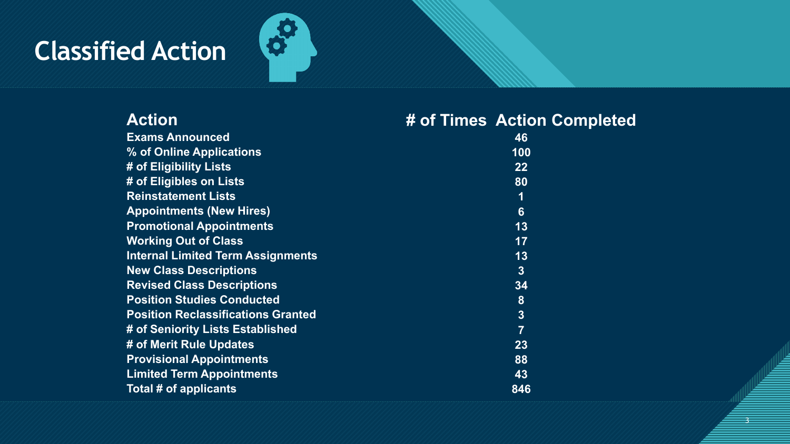## **Classified Action**



### **Action # of Times Action Completed**

3 3

| <b>Exams Announced</b>                    | 46             |  |
|-------------------------------------------|----------------|--|
| % of Online Applications                  | 100            |  |
| # of Eligibility Lists                    | $22 \,$        |  |
| # of Eligibles on Lists                   | 80             |  |
| <b>Reinstatement Lists</b>                | 1              |  |
| <b>Appointments (New Hires)</b>           | $6\phantom{1}$ |  |
| <b>Promotional Appointments</b>           | 13             |  |
| <b>Working Out of Class</b>               | 17             |  |
| <b>Internal Limited Term Assignments</b>  | 13             |  |
| <b>New Class Descriptions</b>             | 3 <sup>1</sup> |  |
| <b>Revised Class Descriptions</b>         | 34             |  |
| <b>Position Studies Conducted</b>         | 8              |  |
| <b>Position Reclassifications Granted</b> | 3              |  |
| # of Seniority Lists Established          | $\overline{7}$ |  |
| # of Merit Rule Updates                   | 23             |  |
| <b>Provisional Appointments</b>           | 88             |  |
| <b>Limited Term Appointments</b>          | 43             |  |
| Total # of applicants                     |                |  |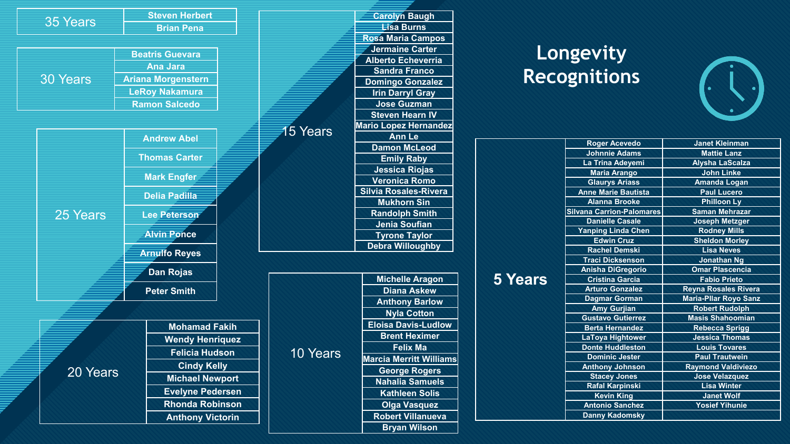|                 |                      | <b>Steven Herbert</b>                        |                         |                         | <b>Carolyn Baugh</b>           |
|-----------------|----------------------|----------------------------------------------|-------------------------|-------------------------|--------------------------------|
| 35 Years        | <b>Brian Pena</b>    |                                              |                         | <b>Eisa Burns</b>       |                                |
|                 |                      |                                              |                         |                         | Rosa Maria Campos              |
|                 |                      | <b>Beatris Guevara</b>                       |                         |                         | Jermaine Carter                |
| <b>30 Years</b> |                      |                                              |                         |                         | <b>Alberto Echeverria</b>      |
|                 |                      | <b>Ana Jara</b><br><b>Ariana Morgenstern</b> |                         |                         | <b>Sandra Franco</b>           |
|                 |                      |                                              |                         |                         | <b>Domingo Gonzalez</b>        |
|                 |                      | <b>LeRoy Nakamura</b>                        |                         |                         | <b>Irin Darryl Gray</b>        |
|                 | <b>Ramon Salcedo</b> |                                              |                         | <b>Jose Guzman</b>      |                                |
|                 |                      |                                              |                         |                         | <b>Steven Hearn IV</b>         |
|                 |                      |                                              |                         | <b>15 Years</b>         | <b>Mario Lopez Hernandez</b>   |
|                 |                      | <b>Andrew Abel</b>                           |                         |                         | <b>Ann Le</b>                  |
|                 |                      |                                              |                         |                         | <b>Damon McLeod</b>            |
|                 |                      | <b>Thomas Carter</b>                         |                         |                         | <b>Emily Raby</b>              |
| 25 Years        |                      |                                              |                         |                         | <b>Jessica Riojas</b>          |
|                 |                      | <b>Mark Engfer</b>                           |                         |                         | <b>Veronica Romo</b>           |
|                 |                      | <b>Delia Padilla</b>                         |                         |                         | <b>Silvia Rosales-Rivera</b>   |
|                 |                      |                                              |                         |                         | <b>Mukhorn Sin</b>             |
|                 |                      | <b>Lee Peterson</b>                          |                         |                         | <b>Randolph Smith</b>          |
|                 |                      |                                              |                         |                         | <b>Jenia Soufian</b>           |
|                 | <b>Alvin Ponce</b>   |                                              |                         | <b>Tyrone Taylor</b>    |                                |
|                 | <b>Arnulfo Reyes</b> |                                              |                         | <b>Debra Willoughby</b> |                                |
|                 |                      |                                              |                         |                         |                                |
|                 | <b>Dan Rojas</b>     |                                              |                         | <b>Michelle Aragon</b>  |                                |
|                 |                      | <b>Peter Smith</b>                           |                         |                         | <b>Diana Askew</b>             |
|                 |                      |                                              |                         |                         | <b>Anthony Barlow</b>          |
|                 |                      |                                              |                         |                         | <b>Nyla Cotton</b>             |
|                 |                      |                                              |                         |                         | <b>Eloisa Davis-Ludlow</b>     |
| 20 Years        |                      | <b>Mohamad Fakih</b>                         |                         | 10 Years                | <b>Brent Heximer</b>           |
|                 |                      | <b>Wendy Henriquez</b>                       |                         |                         | <b>Felix Ma</b>                |
|                 |                      |                                              | <b>Felicia Hudson</b>   |                         | <b>Marcia Merritt Williams</b> |
|                 |                      |                                              | <b>Cindy Kelly</b>      |                         | <b>George Rogers</b>           |
|                 |                      |                                              | <b>Michael Newport</b>  |                         | <b>Nahalia Samuels</b>         |
|                 |                      |                                              | <b>Evelyne Pedersen</b> |                         | <b>Kathleen Solis</b>          |
|                 |                      |                                              | <b>Rhonda Robinson</b>  |                         | <b>Olga Vasquez</b>            |
|                 |                      |                                              |                         |                         |                                |
|                 |                      | <b>Anthony Victorin</b>                      |                         |                         | <b>Robert Villanueva</b>       |
|                 |                      |                                              |                         |                         | <b>Bryan Wilson</b>            |

### **Longevity Recognitions**



| <b>5 Years</b> | <b>Roger Acevedo</b>             | <b>Janet Kleinman</b>        |  |
|----------------|----------------------------------|------------------------------|--|
|                | <b>Johnnie Adams</b>             | <b>Mattie Lanz</b>           |  |
|                | La Trina Adeyemi                 | <b>Alysha LaScalza</b>       |  |
|                | <b>Maria Arango</b>              | <b>John Linke</b>            |  |
|                | <b>Glaurys Ariass</b>            | <b>Amanda Logan</b>          |  |
|                | <b>Anne Marie Bautista</b>       | <b>Paul Lucero</b>           |  |
|                | <b>Alanna Brooke</b>             | <b>Philloon Ly</b>           |  |
|                | <b>Silvana Carrion-Palomares</b> | <b>Saman Mehrazar</b>        |  |
|                | <b>Danielle Casale</b>           | <b>Joseph Metzger</b>        |  |
|                | <b>Yanping Linda Chen</b>        | <b>Rodney Mills</b>          |  |
|                | <b>Edwin Cruz</b>                | <b>Sheldon Morley</b>        |  |
|                | <b>Rachel Demski</b>             | <b>Lisa Neves</b>            |  |
|                | <b>Traci Dicksenson</b>          | <b>Jonathan Ng</b>           |  |
|                | Anisha DiGregorio                | <b>Omar Plascencia</b>       |  |
|                | <b>Cristina Garcia</b>           | <b>Fabio Prieto</b>          |  |
|                | <b>Arturo Gonzalez</b>           | <b>Reyna Rosales Rivera</b>  |  |
|                | <b>Dagmar Gorman</b>             | <b>Maria-Pllar Royo Sanz</b> |  |
|                | <b>Amy Gurjian</b>               | <b>Robert Rudolph</b>        |  |
|                | <b>Gustavo Gutierrez</b>         | <b>Masis Shahoomian</b>      |  |
|                | <b>Berta Hernandez</b>           | <b>Rebecca Sprigg</b>        |  |
|                | <b>LaToya Hightower</b>          | <b>Jessica Thomas</b>        |  |
|                | <b>Donte Huddleston</b>          | <b>Louis Tovares</b>         |  |
|                | <b>Dominic Jester</b>            | <b>Paul Trautwein</b>        |  |
|                | <b>Anthony Johnson</b>           | <b>Raymond Valdiviezo</b>    |  |
|                | <b>Stacey Jones</b>              | <b>Jose Velazquez</b>        |  |
|                | <b>Rafal Karpinski</b>           | <b>Lisa Winter</b>           |  |
|                | <b>Kevin King</b>                | <b>Janet Wolf</b>            |  |
|                | <b>Antonio Sanchez</b>           | <b>Yosief Yihunie</b>        |  |
|                | <b>Danny Kadomsky</b>            |                              |  |